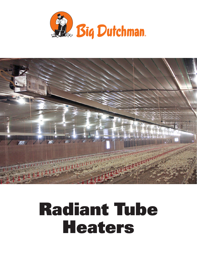



# Radiant Tube Heaters